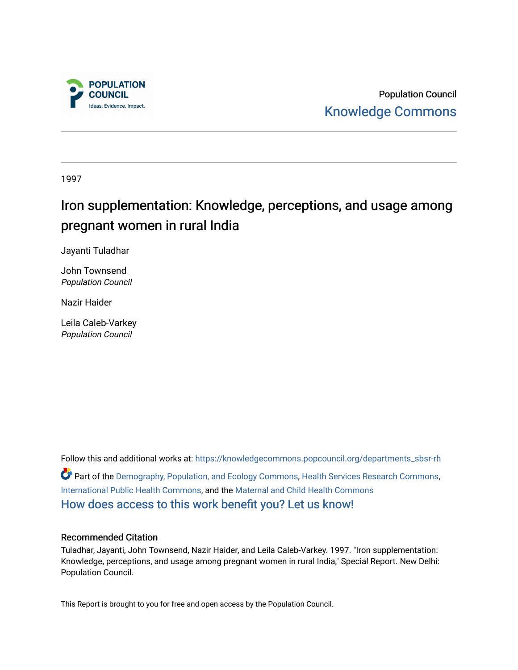

Population Council [Knowledge Commons](https://knowledgecommons.popcouncil.org/) 

1997

# Iron supplementation: Knowledge, perceptions, and usage among pregnant women in rural India

Jayanti Tuladhar

John Townsend Population Council

Nazir Haider

Leila Caleb-Varkey Population Council

Follow this and additional works at: [https://knowledgecommons.popcouncil.org/departments\\_sbsr-rh](https://knowledgecommons.popcouncil.org/departments_sbsr-rh?utm_source=knowledgecommons.popcouncil.org%2Fdepartments_sbsr-rh%2F2039&utm_medium=PDF&utm_campaign=PDFCoverPages)  Part of the [Demography, Population, and Ecology Commons,](https://network.bepress.com/hgg/discipline/418?utm_source=knowledgecommons.popcouncil.org%2Fdepartments_sbsr-rh%2F2039&utm_medium=PDF&utm_campaign=PDFCoverPages) [Health Services Research Commons,](https://network.bepress.com/hgg/discipline/816?utm_source=knowledgecommons.popcouncil.org%2Fdepartments_sbsr-rh%2F2039&utm_medium=PDF&utm_campaign=PDFCoverPages) [International Public Health Commons](https://network.bepress.com/hgg/discipline/746?utm_source=knowledgecommons.popcouncil.org%2Fdepartments_sbsr-rh%2F2039&utm_medium=PDF&utm_campaign=PDFCoverPages), and the [Maternal and Child Health Commons](https://network.bepress.com/hgg/discipline/745?utm_source=knowledgecommons.popcouncil.org%2Fdepartments_sbsr-rh%2F2039&utm_medium=PDF&utm_campaign=PDFCoverPages)  [How does access to this work benefit you? Let us know!](https://pcouncil.wufoo.com/forms/open-access-to-population-council-research/)

#### Recommended Citation

Tuladhar, Jayanti, John Townsend, Nazir Haider, and Leila Caleb-Varkey. 1997. "Iron supplementation: Knowledge, perceptions, and usage among pregnant women in rural India," Special Report. New Delhi: Population Council.

This Report is brought to you for free and open access by the Population Council.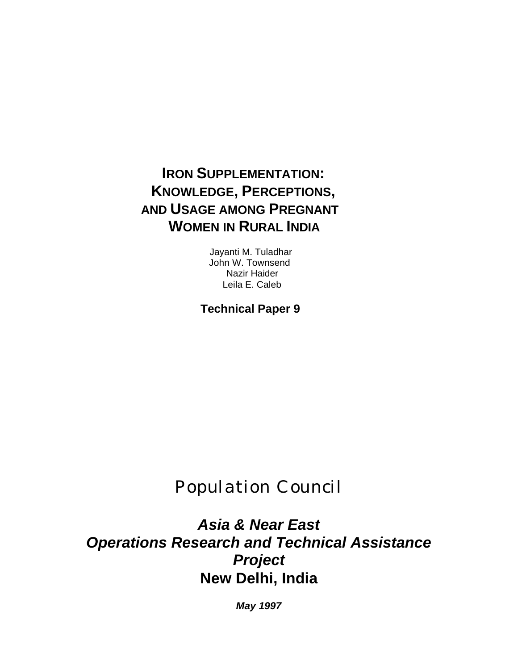# **IRON SUPPLEMENTATION: KNOWLEDGE, PERCEPTIONS, AND USAGE AMONG PREGNANT WOMEN IN RURAL INDIA**

Jayanti M. Tuladhar John W. Townsend Nazir Haider Leila E. Caleb

**Technical Paper 9** 

P*opulation* C*ouncil*

*Asia & Near East Operations Research and Technical Assistance Project* **New Delhi, India**

*May 1997*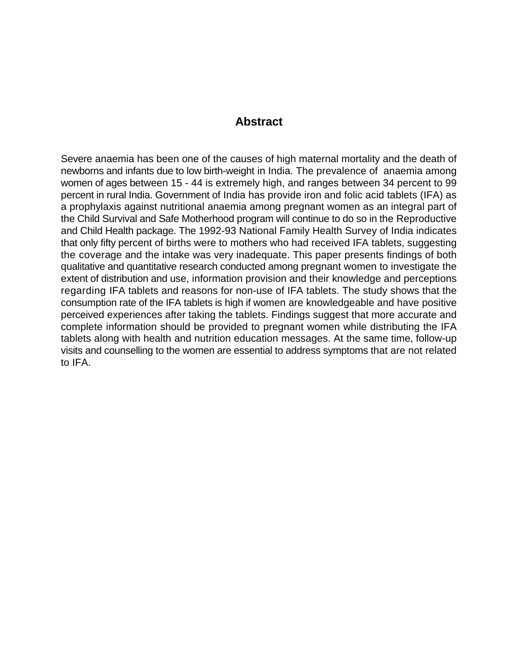#### **Abstract**

Severe anaemia has been one of the causes of high maternal mortality and the death of newborns and infants due to low birth-weight in India. The prevalence of anaemia among women of ages between 15 - 44 is extremely high, and ranges between 34 percent to 99 percent in rural India. Government of India has provide iron and folic acid tablets (IFA) as a prophylaxis against nutritional anaemia among pregnant women as an integral part of the Child Survival and Safe Motherhood program will continue to do so in the Reproductive and Child Health package. The 1992-93 National Family Health Survey of India indicates that only fifty percent of births were to mothers who had received IFA tablets, suggesting the coverage and the intake was very inadequate. This paper presents findings of both qualitative and quantitative research conducted among pregnant women to investigate the extent of distribution and use, information provision and their knowledge and perceptions regarding IFA tablets and reasons for non-use of IFA tablets. The study shows that the consumption rate of the IFA tablets is high if women are knowledgeable and have positive perceived experiences after taking the tablets. Findings suggest that more accurate and complete information should be provided to pregnant women while distributing the IFA tablets along with health and nutrition education messages. At the same time, follow-up visits and counselling to the women are essential to address symptoms that are not related to IFA.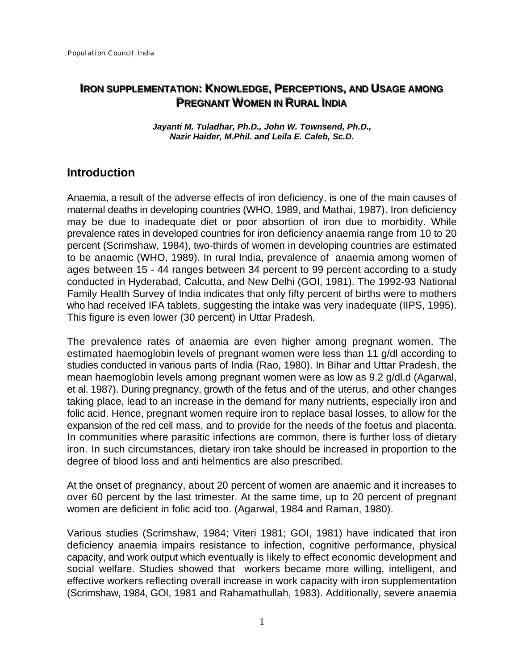## **IRON SUPPLEMENTATION: KNOWLEDGE, PERCEPTIONS, AND USAGE AMONG PREGNANT WOMEN IN RURAL INDIA**

*Jayanti M. Tuladhar, Ph.D., John W. Townsend, Ph.D., Nazir Haider, M.Phil. and Leila E. Caleb, Sc.D.*

## **Introduction**

Anaemia, a result of the adverse effects of iron deficiency, is one of the main causes of maternal deaths in developing countries (WHO, 1989, and Mathai, 1987). Iron deficiency may be due to inadequate diet or poor absortion of iron due to morbidity. While prevalence rates in developed countries for iron deficiency anaemia range from 10 to 20 percent (Scrimshaw, 1984), two-thirds of women in developing countries are estimated to be anaemic (WHO, 1989). In rural India, prevalence of anaemia among women of ages between 15 - 44 ranges between 34 percent to 99 percent according to a study conducted in Hyderabad, Calcutta, and New Delhi (GOI, 1981). The 1992-93 National Family Health Survey of India indicates that only fifty percent of births were to mothers who had received IFA tablets, suggesting the intake was very inadequate (IIPS, 1995). This figure is even lower (30 percent) in Uttar Pradesh.

The prevalence rates of anaemia are even higher among pregnant women. The estimated haemoglobin levels of pregnant women were less than 11 g/dl according to studies conducted in various parts of India (Rao, 1980). In Bihar and Uttar Pradesh, the mean haemoglobin levels among pregnant women were as low as 9.2 g/dl.d (Agarwal, et al. 1987). During pregnancy, growth of the fetus and of the uterus, and other changes taking place, lead to an increase in the demand for many nutrients, especially iron and folic acid. Hence, pregnant women require iron to replace basal losses, to allow for the expansion of the red cell mass, and to provide for the needs of the foetus and placenta. In communities where parasitic infections are common, there is further loss of dietary iron. In such circumstances, dietary iron take should be increased in proportion to the degree of blood loss and anti helmentics are also prescribed.

At the onset of pregnancy, about 20 percent of women are anaemic and it increases to over 60 percent by the last trimester. At the same time, up to 20 percent of pregnant women are deficient in folic acid too. (Agarwal, 1984 and Raman, 1980).

Various studies (Scrimshaw, 1984; Viteri 1981; GOI, 1981) have indicated that iron deficiency anaemia impairs resistance to infection, cognitive performance, physical capacity, and work output which eventually is likely to effect economic development and social welfare. Studies showed that workers became more willing, intelligent, and effective workers reflecting overall increase in work capacity with iron supplementation (Scrimshaw, 1984, GOI, 1981 and Rahamathullah, 1983). Additionally, severe anaemia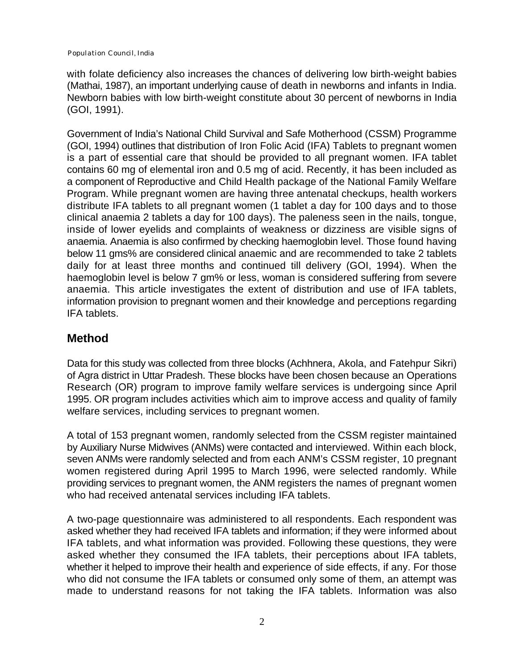with folate deficiency also increases the chances of delivering low birth-weight babies (Mathai, 1987), an important underlying cause of death in newborns and infants in India. Newborn babies with low birth-weight constitute about 30 percent of newborns in India (GOI, 1991).

Government of India's National Child Survival and Safe Motherhood (CSSM) Programme (GOI, 1994) outlines that distribution of Iron Folic Acid (IFA) Tablets to pregnant women is a part of essential care that should be provided to all pregnant women. IFA tablet contains 60 mg of elemental iron and 0.5 mg of acid. Recently, it has been included as a component of Reproductive and Child Health package of the National Family Welfare Program. While pregnant women are having three antenatal checkups, health workers distribute IFA tablets to all pregnant women (1 tablet a day for 100 days and to those clinical anaemia 2 tablets a day for 100 days). The paleness seen in the nails, tongue, inside of lower eyelids and complaints of weakness or dizziness are visible signs of anaemia. Anaemia is also confirmed by checking haemoglobin level. Those found having below 11 gms% are considered clinical anaemic and are recommended to take 2 tablets daily for at least three months and continued till delivery (GOI, 1994). When the haemoglobin level is below 7 gm% or less, woman is considered suffering from severe anaemia. This article investigates the extent of distribution and use of IFA tablets, information provision to pregnant women and their knowledge and perceptions regarding IFA tablets.

# **Method**

Data for this study was collected from three blocks (Achhnera, Akola, and Fatehpur Sikri) of Agra district in Uttar Pradesh. These blocks have been chosen because an Operations Research (OR) program to improve family welfare services is undergoing since April 1995. OR program includes activities which aim to improve access and quality of family welfare services, including services to pregnant women.

A total of 153 pregnant women, randomly selected from the CSSM register maintained by Auxiliary Nurse Midwives (ANMs) were contacted and interviewed. Within each block, seven ANMs were randomly selected and from each ANM's CSSM register, 10 pregnant women registered during April 1995 to March 1996, were selected randomly. While providing services to pregnant women, the ANM registers the names of pregnant women who had received antenatal services including IFA tablets.

A two-page questionnaire was administered to all respondents. Each respondent was asked whether they had received IFA tablets and information; if they were informed about IFA tablets, and what information was provided. Following these questions, they were asked whether they consumed the IFA tablets, their perceptions about IFA tablets, whether it helped to improve their health and experience of side effects, if any. For those who did not consume the IFA tablets or consumed only some of them, an attempt was made to understand reasons for not taking the IFA tablets. Information was also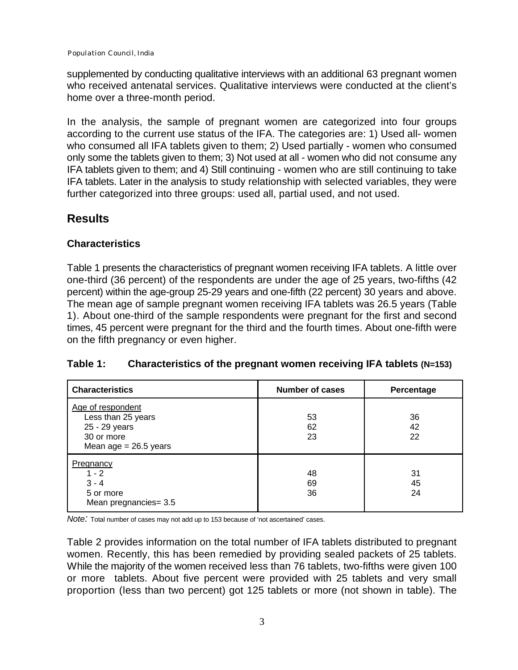supplemented by conducting qualitative interviews with an additional 63 pregnant women who received antenatal services. Qualitative interviews were conducted at the client's home over a three-month period.

In the analysis, the sample of pregnant women are categorized into four groups according to the current use status of the IFA. The categories are: 1) Used all- women who consumed all IFA tablets given to them; 2) Used partially - women who consumed only some the tablets given to them; 3) Not used at all - women who did not consume any IFA tablets given to them; and 4) Still continuing - women who are still continuing to take IFA tablets. Later in the analysis to study relationship with selected variables, they were further categorized into three groups: used all, partial used, and not used.

# **Results**

## **Characteristics**

Table 1 presents the characteristics of pregnant women receiving IFA tablets. A little over one-third (36 percent) of the respondents are under the age of 25 years, two-fifths (42 percent) within the age-group 25-29 years and one-fifth (22 percent) 30 years and above. The mean age of sample pregnant women receiving IFA tablets was 26.5 years (Table 1). About one-third of the sample respondents were pregnant for the first and second times, 45 percent were pregnant for the third and the fourth times. About one-fifth were on the fifth pregnancy or even higher.

## **Table 1: Characteristics of the pregnant women receiving IFA tablets (N=153)**

| <b>Characteristics</b>                                                                            | <b>Number of cases</b> | <b>Percentage</b> |
|---------------------------------------------------------------------------------------------------|------------------------|-------------------|
| Age of respondent<br>Less than 25 years<br>25 - 29 years<br>30 or more<br>Mean age $= 26.5$ years | 53<br>62<br>23         | 36<br>42<br>22    |
| Pregnancy<br>$1 - 2$<br>$3 - 4$<br>5 or more<br>Mean pregnancies= 3.5                             | 48<br>69<br>36         | 31<br>45<br>24    |

*Note:* Total number of cases may not add up to 153 because of 'not ascertained' cases.

Table 2 provides information on the total number of IFA tablets distributed to pregnant women. Recently, this has been remedied by providing sealed packets of 25 tablets. While the majority of the women received less than 76 tablets, two-fifths were given 100 or more tablets. About five percent were provided with 25 tablets and very small proportion (less than two percent) got 125 tablets or more (not shown in table). The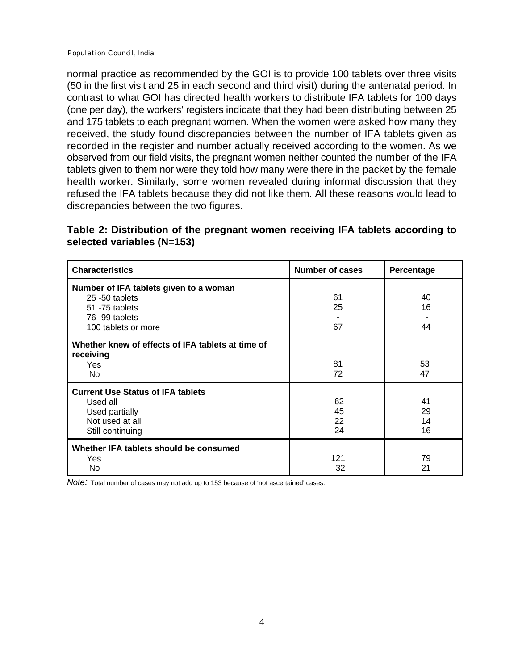normal practice as recommended by the GOI is to provide 100 tablets over three visits (50 in the first visit and 25 in each second and third visit) during the antenatal period. In contrast to what GOI has directed health workers to distribute IFA tablets for 100 days (one per day), the workers' registers indicate that they had been distributing between 25 and 175 tablets to each pregnant women. When the women were asked how many they received, the study found discrepancies between the number of IFA tablets given as recorded in the register and number actually received according to the women. As we observed from our field visits, the pregnant women neither counted the number of the IFA tablets given to them nor were they told how many were there in the packet by the female health worker. Similarly, some women revealed during informal discussion that they refused the IFA tablets because they did not like them. All these reasons would lead to discrepancies between the two figures.

#### **Table 2: Distribution of the pregnant women receiving IFA tablets according to selected variables (N=153)**

| <b>Characteristics</b>                                                                                              | <b>Number of cases</b> | Percentage           |
|---------------------------------------------------------------------------------------------------------------------|------------------------|----------------------|
| Number of IFA tablets given to a woman<br>25 -50 tablets<br>51 - 75 tablets<br>76-99 tablets<br>100 tablets or more | 61<br>25<br>67         | 40<br>16<br>44       |
| Whether knew of effects of IFA tablets at time of<br>receiving<br><b>Yes</b><br>No                                  | 81<br>72               | 53<br>47             |
| <b>Current Use Status of IFA tablets</b><br>Used all<br>Used partially<br>Not used at all<br>Still continuing       | 62<br>45<br>22<br>24   | 41<br>29<br>14<br>16 |
| Whether IFA tablets should be consumed<br>Yes<br>No.                                                                | 121<br>32              | 79<br>21             |

*Note:* Total number of cases may not add up to 153 because of 'not ascertained' cases.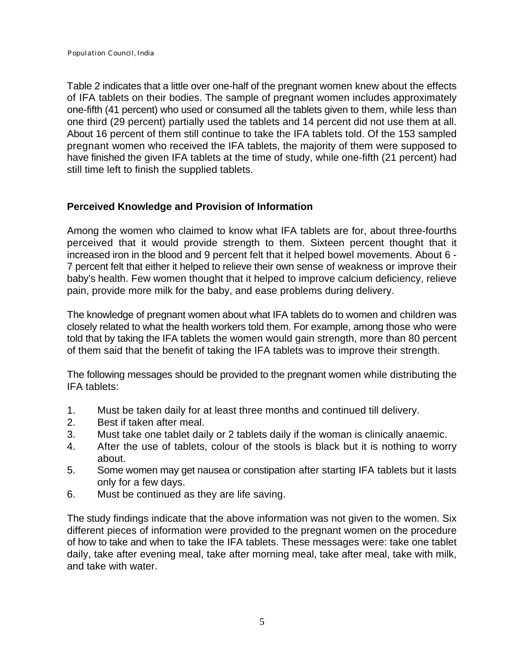Table 2 indicates that a little over one-half of the pregnant women knew about the effects of IFA tablets on their bodies. The sample of pregnant women includes approximately one-fifth (41 percent) who used or consumed all the tablets given to them, while less than one third (29 percent) partially used the tablets and 14 percent did not use them at all. About 16 percent of them still continue to take the IFA tablets told. Of the 153 sampled pregnant women who received the IFA tablets, the majority of them were supposed to have finished the given IFA tablets at the time of study, while one-fifth (21 percent) had still time left to finish the supplied tablets.

#### **Perceived Knowledge and Provision of Information**

Among the women who claimed to know what IFA tablets are for, about three-fourths perceived that it would provide strength to them. Sixteen percent thought that it increased iron in the blood and 9 percent felt that it helped bowel movements. About 6 - 7 percent felt that either it helped to relieve their own sense of weakness or improve their baby's health. Few women thought that it helped to improve calcium deficiency, relieve pain, provide more milk for the baby, and ease problems during delivery.

The knowledge of pregnant women about what IFA tablets do to women and children was closely related to what the health workers told them. For example, among those who were told that by taking the IFA tablets the women would gain strength, more than 80 percent of them said that the benefit of taking the IFA tablets was to improve their strength.

The following messages should be provided to the pregnant women while distributing the IFA tablets:

- 1. Must be taken daily for at least three months and continued till delivery.
- 2. Best if taken after meal.
- 3. Must take one tablet daily or 2 tablets daily if the woman is clinically anaemic.
- 4. After the use of tablets, colour of the stools is black but it is nothing to worry about.
- 5. Some women may get nausea or constipation after starting IFA tablets but it lasts only for a few days.
- 6. Must be continued as they are life saving.

The study findings indicate that the above information was not given to the women. Six different pieces of information were provided to the pregnant women on the procedure of how to take and when to take the IFA tablets. These messages were: take one tablet daily, take after evening meal, take after morning meal, take after meal, take with milk, and take with water.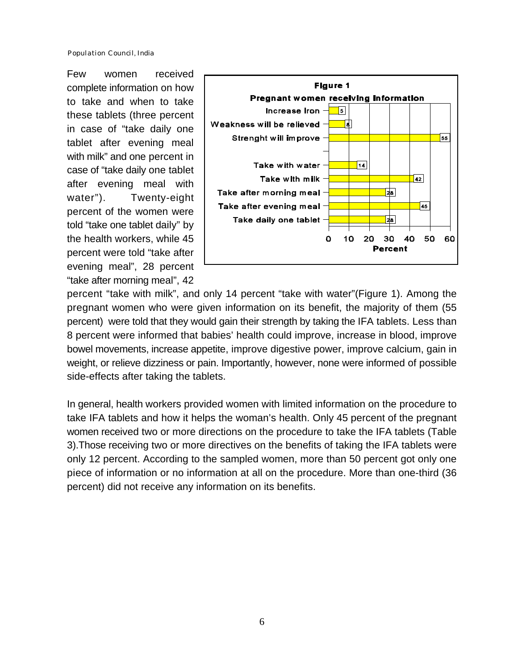Few women received complete information on how to take and when to take these tablets (three percent in case of "take daily one tablet after evening meal with milk" and one percent in case of "take daily one tablet after evening meal with water"). Twenty-eight percent of the women were told "take one tablet daily" by the health workers, while 45 percent were told "take after evening meal", 28 percent "take after morning meal", 42



percent "take with milk", and only 14 percent "take with water"(Figure 1). Among the pregnant women who were given information on its benefit, the majority of them (55 percent) were told that they would gain their strength by taking the IFA tablets. Less than 8 percent were informed that babies' health could improve, increase in blood, improve bowel movements, increase appetite, improve digestive power, improve calcium, gain in weight, or relieve dizziness or pain. Importantly, however, none were informed of possible side-effects after taking the tablets.

In general, health workers provided women with limited information on the procedure to take IFA tablets and how it helps the woman's health. Only 45 percent of the pregnant women received two or more directions on the procedure to take the IFA tablets (Table 3).Those receiving two or more directives on the benefits of taking the IFA tablets were only 12 percent. According to the sampled women, more than 50 percent got only one piece of information or no information at all on the procedure. More than one-third (36 percent) did not receive any information on its benefits.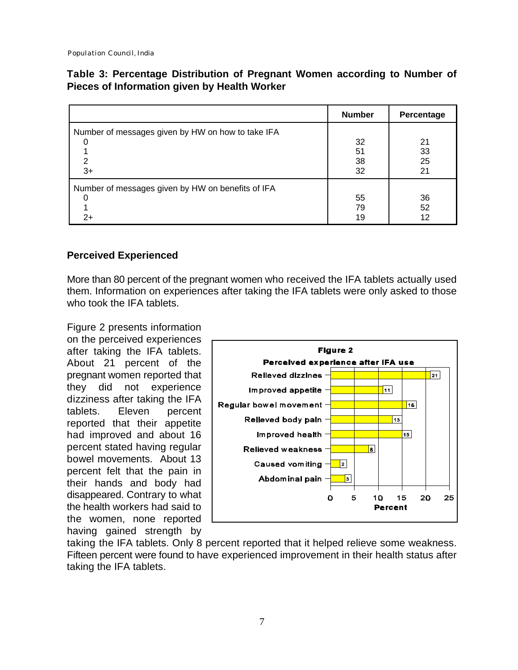#### **Table 3: Percentage Distribution of Pregnant Women according to Number of Pieces of Information given by Health Worker**

|                                                                | <b>Number</b>        | Percentage           |
|----------------------------------------------------------------|----------------------|----------------------|
| Number of messages given by HW on how to take IFA<br>2<br>$3+$ | 32<br>51<br>38<br>32 | 21<br>33<br>25<br>21 |
| Number of messages given by HW on benefits of IFA<br>2+        | 55<br>79<br>19       | 36<br>52<br>12       |

#### **Perceived Experienced**

More than 80 percent of the pregnant women who received the IFA tablets actually used them. Information on experiences after taking the IFA tablets were only asked to those who took the IFA tablets.

Figure 2 presents information on the perceived experiences after taking the IFA tablets. About 21 percent of the pregnant women reported that they did not experience dizziness after taking the IFA tablets. Eleven percent reported that their appetite had improved and about 16 percent stated having regular bowel movements. About 13 percent felt that the pain in their hands and body had disappeared. Contrary to what the health workers had said to the women, none reported having gained strength by



taking the IFA tablets. Only 8 percent reported that it helped relieve some weakness. Fifteen percent were found to have experienced improvement in their health status after taking the IFA tablets.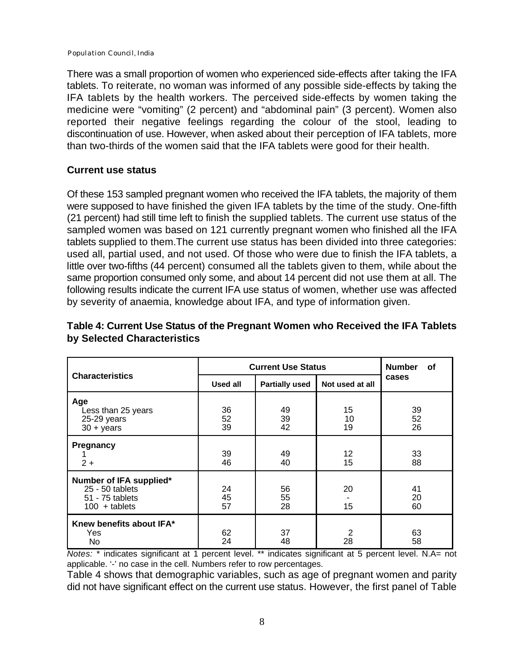There was a small proportion of women who experienced side-effects after taking the IFA tablets. To reiterate, no woman was informed of any possible side-effects by taking the IFA tablets by the health workers. The perceived side-effects by women taking the medicine were "vomiting" (2 percent) and "abdominal pain" (3 percent). Women also reported their negative feelings regarding the colour of the stool, leading to discontinuation of use. However, when asked about their perception of IFA tablets, more than two-thirds of the women said that the IFA tablets were good for their health.

#### **Current use status**

Of these 153 sampled pregnant women who received the IFA tablets, the majority of them were supposed to have finished the given IFA tablets by the time of the study. One-fifth (21 percent) had still time left to finish the supplied tablets. The current use status of the sampled women was based on 121 currently pregnant women who finished all the IFA tablets supplied to them.The current use status has been divided into three categories: used all, partial used, and not used. Of those who were due to finish the IFA tablets, a little over two-fifths (44 percent) consumed all the tablets given to them, while about the same proportion consumed only some, and about 14 percent did not use them at all. The following results indicate the current IFA use status of women, whether use was affected by severity of anaemia, knowledge about IFA, and type of information given.

|                                                                                  | <b>Current Use Status</b> |                       |                 | <b>Number</b><br><b>of</b> |  |
|----------------------------------------------------------------------------------|---------------------------|-----------------------|-----------------|----------------------------|--|
| <b>Characteristics</b>                                                           | <b>Used all</b>           | <b>Partially used</b> | Not used at all | cases                      |  |
| Age<br>Less than 25 years<br>25-29 years<br>$30 + \text{years}$                  | 36<br>52<br>39            | 49<br>39<br>42        | 15<br>10<br>19  | 39<br>52<br>26             |  |
| Pregnancy<br>$2+$                                                                | 39<br>46                  | 49<br>40              | 12<br>15        | 33<br>88                   |  |
| Number of IFA supplied*<br>25 - 50 tablets<br>51 - 75 tablets<br>$100 +$ tablets | 24<br>45<br>57            | 56<br>55<br>28        | 20<br>15        | 41<br>20<br>60             |  |
| Knew benefits about IFA*<br>Yes<br>No                                            | 62<br>24                  | 37<br>48              | 2<br>28         | 63<br>58                   |  |

## **Table 4: Current Use Status of the Pregnant Women who Received the IFA Tablets by Selected Characteristics**

*Notes:* \* indicates significant at 1 percent level. \*\* indicates significant at 5 percent level. N.A= not applicable. '-' no case in the cell. Numbers refer to row percentages.

Table 4 shows that demographic variables, such as age of pregnant women and parity did not have significant effect on the current use status. However, the first panel of Table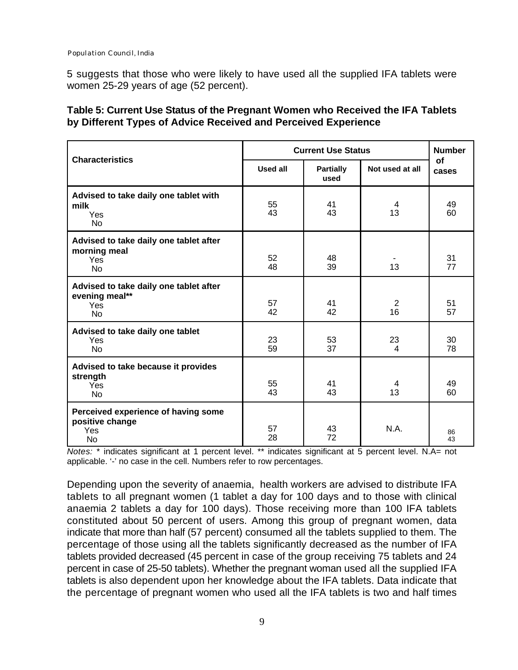5 suggests that those who were likely to have used all the supplied IFA tablets were women 25-29 years of age (52 percent).

#### **Table 5: Current Use Status of the Pregnant Women who Received the IFA Tablets by Different Types of Advice Received and Perceived Experience**

|                                                                                   | <b>Current Use Status</b> |                          |                 | <b>Number</b> |
|-----------------------------------------------------------------------------------|---------------------------|--------------------------|-----------------|---------------|
| <b>Characteristics</b>                                                            | Used all                  | <b>Partially</b><br>used | Not used at all | Οf<br>cases   |
| Advised to take daily one tablet with<br>milk<br>Yes<br><b>No</b>                 | 55<br>43                  | 41<br>43                 | 4<br>13         | 49<br>60      |
| Advised to take daily one tablet after<br>morning meal<br><b>Yes</b><br><b>No</b> | 52<br>48                  | 48<br>39                 | 13              | 31<br>77      |
| Advised to take daily one tablet after<br>evening meal**<br>Yes<br>No             | 57<br>42                  | 41<br>42                 | 2<br>16         | 51<br>57      |
| Advised to take daily one tablet<br>Yes<br><b>No</b>                              | 23<br>59                  | 53<br>37                 | 23<br>4         | 30<br>78      |
| Advised to take because it provides<br>strength<br>Yes<br><b>No</b>               | 55<br>43                  | 41<br>43                 | 4<br>13         | 49<br>60      |
| Perceived experience of having some<br>positive change<br>Yes<br>No               | 57<br>28                  | 43<br>72                 | N.A.            | 86<br>43      |

*Notes:* \* indicates significant at 1 percent level. \*\* indicates significant at 5 percent level. N.A= not applicable. '-' no case in the cell. Numbers refer to row percentages.

Depending upon the severity of anaemia, health workers are advised to distribute IFA tablets to all pregnant women (1 tablet a day for 100 days and to those with clinical anaemia 2 tablets a day for 100 days). Those receiving more than 100 IFA tablets constituted about 50 percent of users. Among this group of pregnant women, data indicate that more than half (57 percent) consumed all the tablets supplied to them. The percentage of those using all the tablets significantly decreased as the number of IFA tablets provided decreased (45 percent in case of the group receiving 75 tablets and 24 percent in case of 25-50 tablets). Whether the pregnant woman used all the supplied IFA tablets is also dependent upon her knowledge about the IFA tablets. Data indicate that the percentage of pregnant women who used all the IFA tablets is two and half times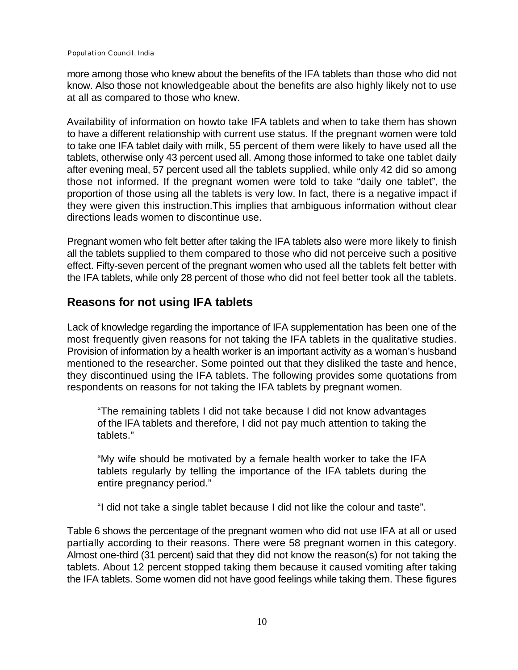more among those who knew about the benefits of the IFA tablets than those who did not know. Also those not knowledgeable about the benefits are also highly likely not to use at all as compared to those who knew.

Availability of information on howto take IFA tablets and when to take them has shown to have a different relationship with current use status. If the pregnant women were told to take one IFA tablet daily with milk, 55 percent of them were likely to have used all the tablets, otherwise only 43 percent used all. Among those informed to take one tablet daily after evening meal, 57 percent used all the tablets supplied, while only 42 did so among those not informed. If the pregnant women were told to take "daily one tablet", the proportion of those using all the tablets is very low. In fact, there is a negative impact if they were given this instruction.This implies that ambiguous information without clear directions leads women to discontinue use.

Pregnant women who felt better after taking the IFA tablets also were more likely to finish all the tablets supplied to them compared to those who did not perceive such a positive effect. Fifty-seven percent of the pregnant women who used all the tablets felt better with the IFA tablets, while only 28 percent of those who did not feel better took all the tablets.

# **Reasons for not using IFA tablets**

Lack of knowledge regarding the importance of IFA supplementation has been one of the most frequently given reasons for not taking the IFA tablets in the qualitative studies. Provision of information by a health worker is an important activity as a woman's husband mentioned to the researcher. Some pointed out that they disliked the taste and hence, they discontinued using the IFA tablets. The following provides some quotations from respondents on reasons for not taking the IFA tablets by pregnant women.

"The remaining tablets I did not take because I did not know advantages of the IFA tablets and therefore, I did not pay much attention to taking the tablets."

"My wife should be motivated by a female health worker to take the IFA tablets regularly by telling the importance of the IFA tablets during the entire pregnancy period."

"I did not take a single tablet because I did not like the colour and taste".

Table 6 shows the percentage of the pregnant women who did not use IFA at all or used partially according to their reasons. There were 58 pregnant women in this category. Almost one-third (31 percent) said that they did not know the reason(s) for not taking the tablets. About 12 percent stopped taking them because it caused vomiting after taking the IFA tablets. Some women did not have good feelings while taking them. These figures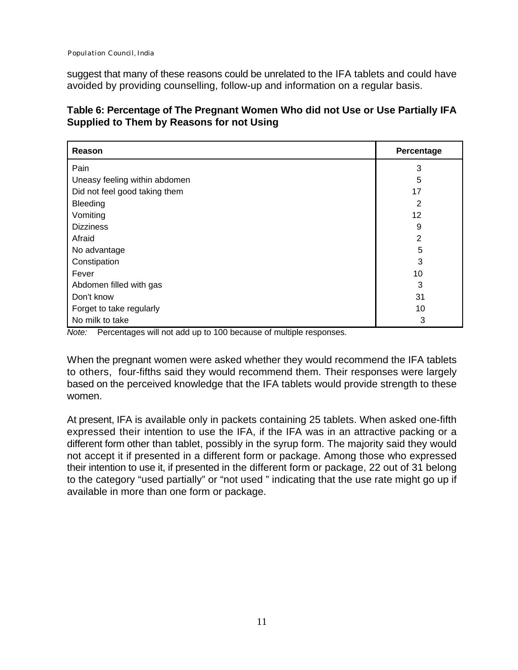suggest that many of these reasons could be unrelated to the IFA tablets and could have avoided by providing counselling, follow-up and information on a regular basis.

| Table 6: Percentage of The Pregnant Women Who did not Use or Use Partially IFA |
|--------------------------------------------------------------------------------|
| <b>Supplied to Them by Reasons for not Using</b>                               |

| Reason                        | Percentage     |
|-------------------------------|----------------|
| Pain                          | 3              |
| Uneasy feeling within abdomen | 5              |
| Did not feel good taking them | 17             |
| Bleeding                      | 2              |
| Vomiting                      | 12             |
| <b>Dizziness</b>              | 9              |
| Afraid                        | $\overline{2}$ |
| No advantage                  | 5              |
| Constipation                  | 3              |
| Fever                         | 10             |
| Abdomen filled with gas       | 3              |
| Don't know                    | 31             |
| Forget to take regularly      | 10             |
| No milk to take               | 3              |

*Note:* Percentages will not add up to 100 because of multiple responses.

When the pregnant women were asked whether they would recommend the IFA tablets to others, four-fifths said they would recommend them. Their responses were largely based on the perceived knowledge that the IFA tablets would provide strength to these women.

At present, IFA is available only in packets containing 25 tablets. When asked one-fifth expressed their intention to use the IFA, if the IFA was in an attractive packing or a different form other than tablet, possibly in the syrup form. The majority said they would not accept it if presented in a different form or package. Among those who expressed their intention to use it, if presented in the different form or package, 22 out of 31 belong to the category "used partially" or "not used " indicating that the use rate might go up if available in more than one form or package.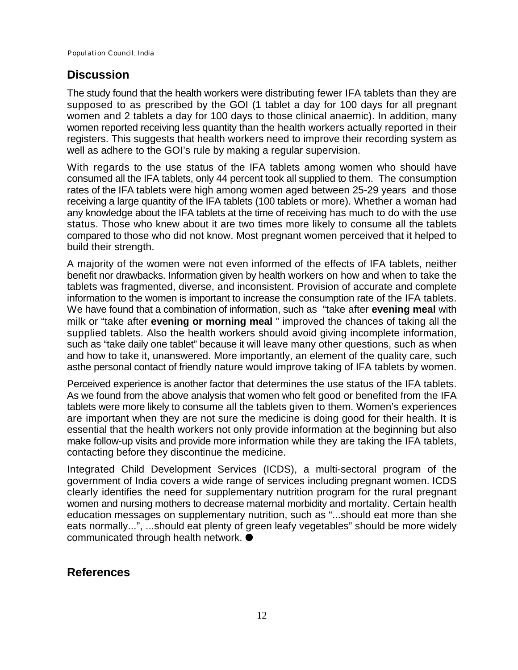#### **Discussion**

The study found that the health workers were distributing fewer IFA tablets than they are supposed to as prescribed by the GOI (1 tablet a day for 100 days for all pregnant women and 2 tablets a day for 100 days to those clinical anaemic). In addition, many women reported receiving less quantity than the health workers actually reported in their registers. This suggests that health workers need to improve their recording system as well as adhere to the GOI's rule by making a regular supervision.

With regards to the use status of the IFA tablets among women who should have consumed all the IFA tablets, only 44 percent took all supplied to them. The consumption rates of the IFA tablets were high among women aged between 25-29 years and those receiving a large quantity of the IFA tablets (100 tablets or more). Whether a woman had any knowledge about the IFA tablets at the time of receiving has much to do with the use status. Those who knew about it are two times more likely to consume all the tablets compared to those who did not know. Most pregnant women perceived that it helped to build their strength.

A majority of the women were not even informed of the effects of IFA tablets, neither benefit nor drawbacks. Information given by health workers on how and when to take the tablets was fragmented, diverse, and inconsistent. Provision of accurate and complete information to the women is important to increase the consumption rate of the IFA tablets. We have found that a combination of information, such as "take after **evening meal** with milk or "take after **evening or morning meal** " improved the chances of taking all the supplied tablets. Also the health workers should avoid giving incomplete information, such as "take daily one tablet" because it will leave many other questions, such as when and how to take it, unanswered. More importantly, an element of the quality care, such asthe personal contact of friendly nature would improve taking of IFA tablets by women.

Perceived experience is another factor that determines the use status of the IFA tablets. As we found from the above analysis that women who felt good or benefited from the IFA tablets were more likely to consume all the tablets given to them. Women's experiences are important when they are not sure the medicine is doing good for their health. It is essential that the health workers not only provide information at the beginning but also make follow-up visits and provide more information while they are taking the IFA tablets, contacting before they discontinue the medicine.

Integrated Child Development Services (ICDS), a multi-sectoral program of the government of India covers a wide range of services including pregnant women. ICDS clearly identifies the need for supplementary nutrition program for the rural pregnant women and nursing mothers to decrease maternal morbidity and mortality. Certain health education messages on supplementary nutrition, such as "...should eat more than she eats normally...", ...should eat plenty of green leafy vegetables" should be more widely communicated through health network.  $\bullet$ 

## **References**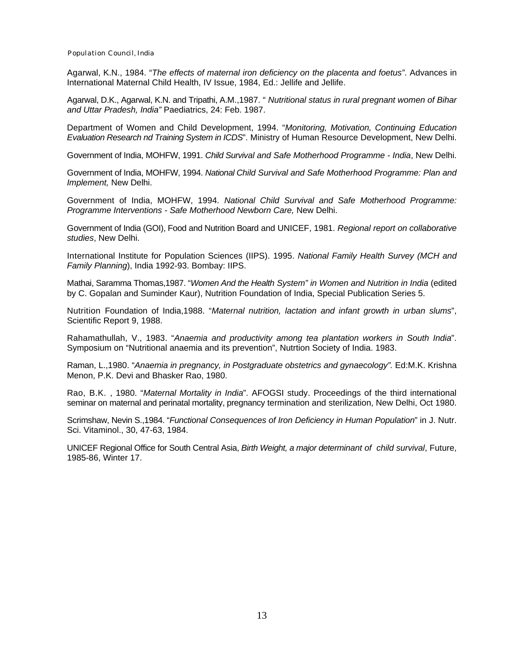Agarwal, K.N., 1984. "*The effects of maternal iron deficiency on the placenta and foetus"*. Advances in International Maternal Child Health, IV Issue, 1984, Ed.: Jellife and Jellife.

Agarwal, D.K., Agarwal, K.N. and Tripathi, A.M.,1987. " *Nutritional status in rural pregnant women of Bihar and Uttar Pradesh, India"* Paediatrics, 24: Feb. 1987.

Department of Women and Child Development, 1994. "*Monitoring, Motivation, Continuing Education Evaluation Research nd Training System in ICDS*". Ministry of Human Resource Development, New Delhi.

Government of India, MOHFW, 1991. *Child Survival and Safe Motherhood Programme - India*, New Delhi.

Government of India, MOHFW, 1994. *National Child Survival and Safe Motherhood Programme: Plan and Implement,* New Delhi.

Government of India, MOHFW, 1994. *National Child Survival and Safe Motherhood Programme: Programme Interventions - Safe Motherhood Newborn Care,* New Delhi.

Government of India (GOI), Food and Nutrition Board and UNICEF, 1981. *Regional report on collaborative studies*, New Delhi.

International Institute for Population Sciences (IIPS). 1995. *National Family Health Survey (MCH and Family Planning*), India 1992-93. Bombay: IIPS.

Mathai, Saramma Thomas,1987. "*Women And the Health System" in Women and Nutrition in India* (edited by C. Gopalan and Suminder Kaur), Nutrition Foundation of India, Special Publication Series 5.

Nutrition Foundation of India,1988. "*Maternal nutrition, lactation and infant growth in urban slums*", Scientific Report 9, 1988.

Rahamathullah, V., 1983. "*Anaemia and productivity among tea plantation workers in South India*". Symposium on "Nutritional anaemia and its prevention", Nutrtion Society of India. 1983.

Raman, L.,1980. "*Anaemia in pregnancy, in Postgraduate obstetrics and gynaecology".* Ed:M.K. Krishna Menon, P.K. Devi and Bhasker Rao, 1980.

Rao, B.K. , 1980. "*Maternal Mortality in India*". AFOGSI study. Proceedings of the third international seminar on maternal and perinatal mortality, pregnancy termination and sterilization, New Delhi, Oct 1980.

Scrimshaw, Nevin S.,1984. "*Functional Consequences of Iron Deficiency in Human Population*" in J. Nutr. Sci. Vitaminol., 30, 47-63, 1984.

UNICEF Regional Office for South Central Asia, *Birth Weight, a major determinant of child survival*, Future, 1985-86, Winter 17.